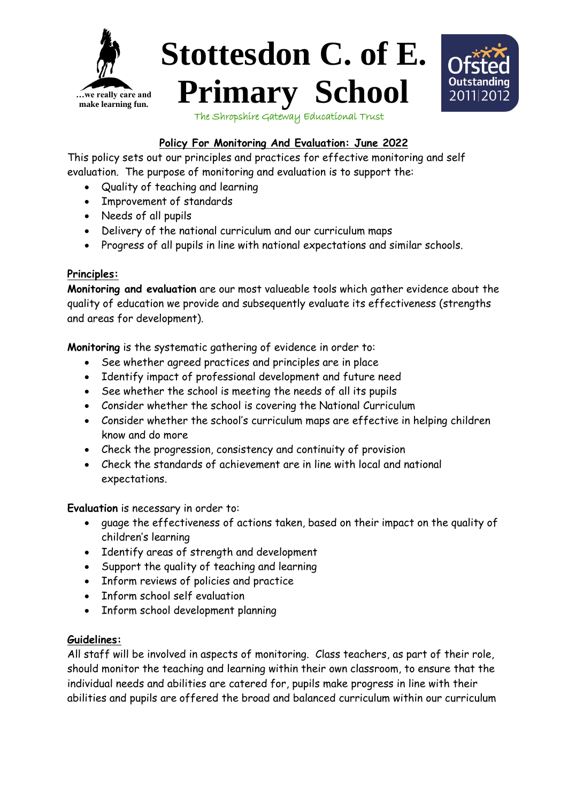





The Shropshire Gateway Educational Trust

## **Policy For Monitoring And Evaluation: June 2022**

This policy sets out our principles and practices for effective monitoring and self evaluation. The purpose of monitoring and evaluation is to support the:

- Quality of teaching and learning
- Improvement of standards
- Needs of all pupils
- Delivery of the national curriculum and our curriculum maps
- Progress of all pupils in line with national expectations and similar schools.

## **Principles:**

**Monitoring and evaluation** are our most valueable tools which gather evidence about the quality of education we provide and subsequently evaluate its effectiveness (strengths and areas for development).

**Monitoring** is the systematic gathering of evidence in order to:

- See whether agreed practices and principles are in place
- Identify impact of professional development and future need
- See whether the school is meeting the needs of all its pupils
- Consider whether the school is covering the National Curriculum
- Consider whether the school's curriculum maps are effective in helping children know and do more
- Check the progression, consistency and continuity of provision
- Check the standards of achievement are in line with local and national expectations.

**Evaluation** is necessary in order to:

- guage the effectiveness of actions taken, based on their impact on the quality of children's learning
- Identify areas of strength and development
- Support the quality of teaching and learning
- Inform reviews of policies and practice
- Inform school self evaluation
- Inform school development planning

## **Guidelines:**

All staff will be involved in aspects of monitoring. Class teachers, as part of their role, should monitor the teaching and learning within their own classroom, to ensure that the individual needs and abilities are catered for, pupils make progress in line with their abilities and pupils are offered the broad and balanced curriculum within our curriculum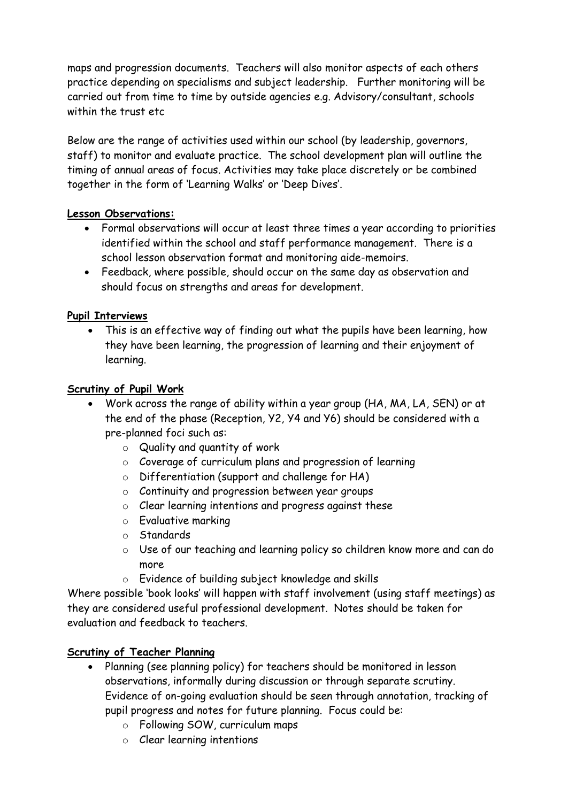maps and progression documents. Teachers will also monitor aspects of each others practice depending on specialisms and subject leadership. Further monitoring will be carried out from time to time by outside agencies e.g. Advisory/consultant, schools within the trust etc.

Below are the range of activities used within our school (by leadership, governors, staff) to monitor and evaluate practice. The school development plan will outline the timing of annual areas of focus. Activities may take place discretely or be combined together in the form of 'Learning Walks' or 'Deep Dives'.

## **Lesson Observations:**

- Formal observations will occur at least three times a year according to priorities identified within the school and staff performance management. There is a school lesson observation format and monitoring aide-memoirs.
- Feedback, where possible, should occur on the same day as observation and should focus on strengths and areas for development.

### **Pupil Interviews**

This is an effective way of finding out what the pupils have been learning, how they have been learning, the progression of learning and their enjoyment of learning.

### **Scrutiny of Pupil Work**

- Work across the range of ability within a year group (HA, MA, LA, SEN) or at the end of the phase (Reception, Y2, Y4 and Y6) should be considered with a pre-planned foci such as:
	- o Quality and quantity of work
	- o Coverage of curriculum plans and progression of learning
	- o Differentiation (support and challenge for HA)
	- o Continuity and progression between year groups
	- o Clear learning intentions and progress against these
	- o Evaluative marking
	- o Standards
	- o Use of our teaching and learning policy so children know more and can do more
	- o Evidence of building subject knowledge and skills

Where possible 'book looks' will happen with staff involvement (using staff meetings) as they are considered useful professional development. Notes should be taken for evaluation and feedback to teachers.

### **Scrutiny of Teacher Planning**

- Planning (see planning policy) for teachers should be monitored in lesson observations, informally during discussion or through separate scrutiny. Evidence of on-going evaluation should be seen through annotation, tracking of pupil progress and notes for future planning. Focus could be:
	- o Following SOW, curriculum maps
	- o Clear learning intentions